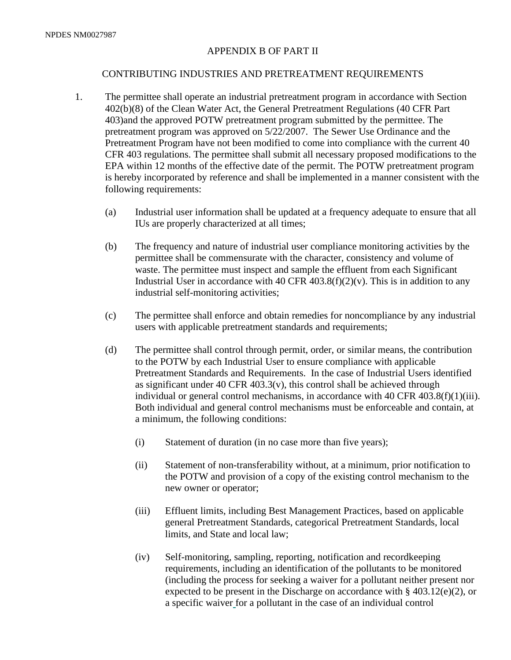# APPENDIX B OF PART II

# CONTRIBUTING INDUSTRIES AND PRETREATMENT REQUIREMENTS

- 1. The permittee shall operate an industrial pretreatment program in accordance with Section 402(b)(8) of the Clean Water Act, the General Pretreatment Regulations (40 CFR Part 403)and the approved POTW pretreatment program submitted by the permittee. The pretreatment program was approved on 5/22/2007. The Sewer Use Ordinance and the Pretreatment Program have not been modified to come into compliance with the current 40 CFR 403 regulations. The permittee shall submit all necessary proposed modifications to the EPA within 12 months of the effective date of the permit. The POTW pretreatment program is hereby incorporated by reference and shall be implemented in a manner consistent with the following requirements:
	- (a) Industrial user information shall be updated at a frequency adequate to ensure that all IUs are properly characterized at all times;
	- (b) The frequency and nature of industrial user compliance monitoring activities by the permittee shall be commensurate with the character, consistency and volume of waste. The permittee must inspect and sample the effluent from each Significant Industrial User in accordance with 40 CFR  $403.8(f)(2)(v)$ . This is in addition to any industrial self-monitoring activities;
	- (c) The permittee shall enforce and obtain remedies for noncompliance by any industrial users with applicable pretreatment standards and requirements;
	- (d) The permittee shall control through permit, order, or similar means, the contribution to the POTW by each Industrial User to ensure compliance with applicable Pretreatment Standards and Requirements. In the case of Industrial Users identified as significant under  $40 \text{ CFR } 403.3(v)$ , this control shall be achieved through individual or general control mechanisms, in accordance with 40 CFR 403.8(f)(1)(iii). Both individual and general control mechanisms must be enforceable and contain, at a minimum, the following conditions:
		- (i) Statement of duration (in no case more than five years);
		- (ii) Statement of non-transferability without, at a minimum, prior notification to the POTW and provision of a copy of the existing control mechanism to the new owner or operator;
		- (iii) Effluent limits, including Best Management Practices, based on applicable general Pretreatment Standards, categorical Pretreatment Standards, local limits, and State and local law;
		- (iv) Self-monitoring, sampling, reporting, notification and recordkeeping requirements, including an identification of the pollutants to be monitored (including the process for seeking a waiver for a pollutant neither present nor expected to be present in the Discharge on accordance with  $\S$  403.12(e)(2), or a specific waiver for a pollutant in the case of an individual control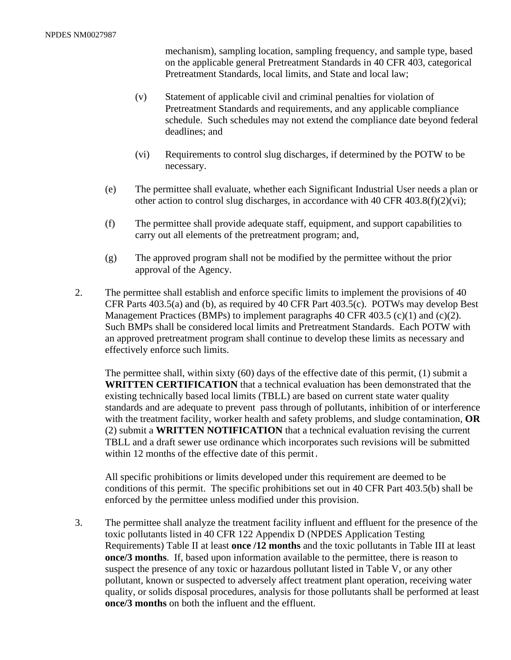mechanism), sampling location, sampling frequency, and sample type, based on the applicable general Pretreatment Standards in 40 CFR 403, categorical Pretreatment Standards, local limits, and State and local law;

- (v) Statement of applicable civil and criminal penalties for violation of Pretreatment Standards and requirements, and any applicable compliance schedule. Such schedules may not extend the compliance date beyond federal deadlines; and
- (vi) Requirements to control slug discharges, if determined by the POTW to be necessary.
- (e) The permittee shall evaluate, whether each Significant Industrial User needs a plan or other action to control slug discharges, in accordance with  $40 \text{ CFR } 403.8(f)(2)(vi)$ ;
- (f) The permittee shall provide adequate staff, equipment, and support capabilities to carry out all elements of the pretreatment program; and,
- (g) The approved program shall not be modified by the permittee without the prior approval of the Agency.
- 2. The permittee shall establish and enforce specific limits to implement the provisions of 40 CFR Parts 403.5(a) and (b), as required by 40 CFR Part 403.5(c). POTWs may develop Best Management Practices (BMPs) to implement paragraphs 40 CFR 403.5 (c)(1) and (c)(2). Such BMPs shall be considered local limits and Pretreatment Standards. Each POTW with an approved pretreatment program shall continue to develop these limits as necessary and effectively enforce such limits.

The permittee shall, within sixty  $(60)$  days of the effective date of this permit,  $(1)$  submit a **WRITTEN CERTIFICATION** that a technical evaluation has been demonstrated that the existing technically based local limits (TBLL) are based on current state water quality standards and are adequate to prevent pass through of pollutants, inhibition of or interference with the treatment facility, worker health and safety problems, and sludge contamination, **OR** (2) submit a **WRITTEN NOTIFICATION** that a technical evaluation revising the current TBLL and a draft sewer use ordinance which incorporates such revisions will be submitted within 12 months of the effective date of this permit.

All specific prohibitions or limits developed under this requirement are deemed to be conditions of this permit. The specific prohibitions set out in 40 CFR Part 403.5(b) shall be enforced by the permittee unless modified under this provision.

3. The permittee shall analyze the treatment facility influent and effluent for the presence of the toxic pollutants listed in 40 CFR 122 Appendix D (NPDES Application Testing Requirements) Table II at least **once /12 months** and the toxic pollutants in Table III at least **once/3 months**. If, based upon information available to the permittee, there is reason to suspect the presence of any toxic or hazardous pollutant listed in Table V, or any other pollutant, known or suspected to adversely affect treatment plant operation, receiving water quality, or solids disposal procedures, analysis for those pollutants shall be performed at least **once/3 months** on both the influent and the effluent.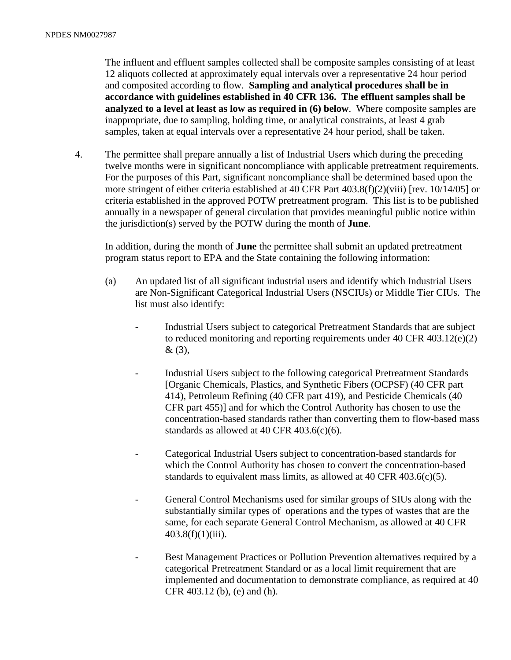The influent and effluent samples collected shall be composite samples consisting of at least 12 aliquots collected at approximately equal intervals over a representative 24 hour period and composited according to flow. **Sampling and analytical procedures shall be in accordance with guidelines established in 40 CFR 136. The effluent samples shall be analyzed to a level at least as low as required in (6) below**. Where composite samples are inappropriate, due to sampling, holding time, or analytical constraints, at least 4 grab samples, taken at equal intervals over a representative 24 hour period, shall be taken.

4. The permittee shall prepare annually a list of Industrial Users which during the preceding twelve months were in significant noncompliance with applicable pretreatment requirements. For the purposes of this Part, significant noncompliance shall be determined based upon the more stringent of either criteria established at 40 CFR Part 403.8(f)(2)(viii) [rev. 10/14/05] or criteria established in the approved POTW pretreatment program. This list is to be published annually in a newspaper of general circulation that provides meaningful public notice within the jurisdiction(s) served by the POTW during the month of **June**.

In addition, during the month of **June** the permittee shall submit an updated pretreatment program status report to EPA and the State containing the following information:

- (a) An updated list of all significant industrial users and identify which Industrial Users are Non-Significant Categorical Industrial Users (NSCIUs) or Middle Tier CIUs. The list must also identify:
	- Industrial Users subject to categorical Pretreatment Standards that are subject to reduced monitoring and reporting requirements under 40 CFR 403.12(e)(2) & (3),
	- Industrial Users subject to the following categorical Pretreatment Standards [Organic Chemicals, Plastics, and Synthetic Fibers (OCPSF) (40 CFR part 414), Petroleum Refining (40 CFR part 419), and Pesticide Chemicals (40 CFR part 455)] and for which the Control Authority has chosen to use the concentration-based standards rather than converting them to flow-based mass standards as allowed at 40 CFR 403.6(c)(6).
	- Categorical Industrial Users subject to concentration-based standards for which the Control Authority has chosen to convert the concentration-based standards to equivalent mass limits, as allowed at 40 CFR 403.6(c)(5).
	- General Control Mechanisms used for similar groups of SIUs along with the substantially similar types of operations and the types of wastes that are the same, for each separate General Control Mechanism, as allowed at 40 CFR  $403.8(f)(1)(iii)$ .
	- Best Management Practices or Pollution Prevention alternatives required by a categorical Pretreatment Standard or as a local limit requirement that are implemented and documentation to demonstrate compliance, as required at 40 CFR 403.12 (b), (e) and (h).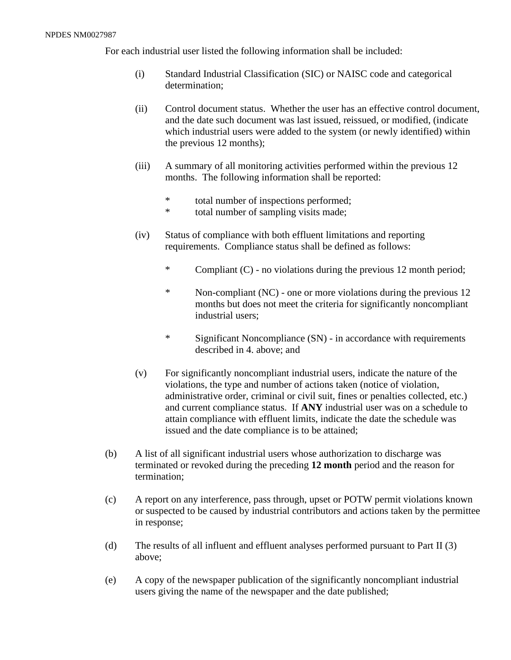For each industrial user listed the following information shall be included:

- (i) Standard Industrial Classification (SIC) or NAISC code and categorical determination;
- (ii) Control document status. Whether the user has an effective control document, and the date such document was last issued, reissued, or modified, (indicate which industrial users were added to the system (or newly identified) within the previous 12 months);
- (iii) A summary of all monitoring activities performed within the previous 12 months. The following information shall be reported:
	- \* total number of inspections performed;<br>\* total number of sampling visits made:
	- total number of sampling visits made;
- (iv) Status of compliance with both effluent limitations and reporting requirements. Compliance status shall be defined as follows:
	- \* Compliant (C) no violations during the previous 12 month period;
	- \* Non-compliant (NC) one or more violations during the previous 12 months but does not meet the criteria for significantly noncompliant industrial users;
	- \* Significant Noncompliance (SN) in accordance with requirements described in 4. above; and
- (v) For significantly noncompliant industrial users, indicate the nature of the violations, the type and number of actions taken (notice of violation, administrative order, criminal or civil suit, fines or penalties collected, etc.) and current compliance status. If **ANY** industrial user was on a schedule to attain compliance with effluent limits, indicate the date the schedule was issued and the date compliance is to be attained;
- (b) A list of all significant industrial users whose authorization to discharge was terminated or revoked during the preceding **12 month** period and the reason for termination;
- (c) A report on any interference, pass through, upset or POTW permit violations known or suspected to be caused by industrial contributors and actions taken by the permittee in response;
- (d) The results of all influent and effluent analyses performed pursuant to Part II (3) above;
- (e) A copy of the newspaper publication of the significantly noncompliant industrial users giving the name of the newspaper and the date published;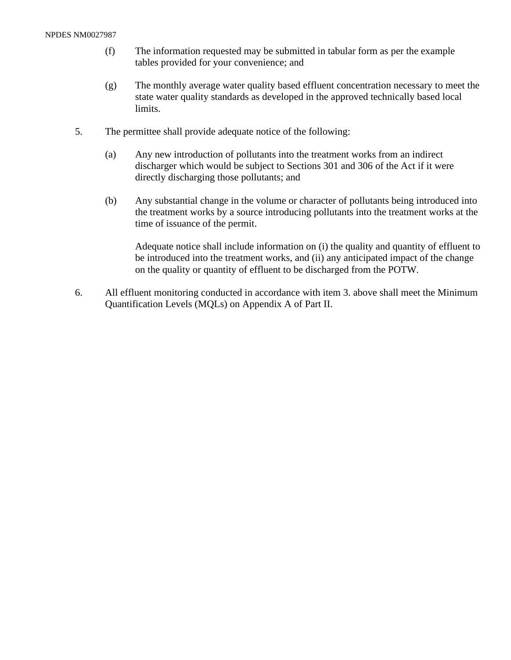- (f) The information requested may be submitted in tabular form as per the example tables provided for your convenience; and
- (g) The monthly average water quality based effluent concentration necessary to meet the state water quality standards as developed in the approved technically based local limits.
- 5. The permittee shall provide adequate notice of the following:
	- (a) Any new introduction of pollutants into the treatment works from an indirect discharger which would be subject to Sections 301 and 306 of the Act if it were directly discharging those pollutants; and
	- (b) Any substantial change in the volume or character of pollutants being introduced into the treatment works by a source introducing pollutants into the treatment works at the time of issuance of the permit.

Adequate notice shall include information on (i) the quality and quantity of effluent to be introduced into the treatment works, and (ii) any anticipated impact of the change on the quality or quantity of effluent to be discharged from the POTW.

6. All effluent monitoring conducted in accordance with item 3. above shall meet the Minimum Quantification Levels (MQLs) on Appendix A of Part II.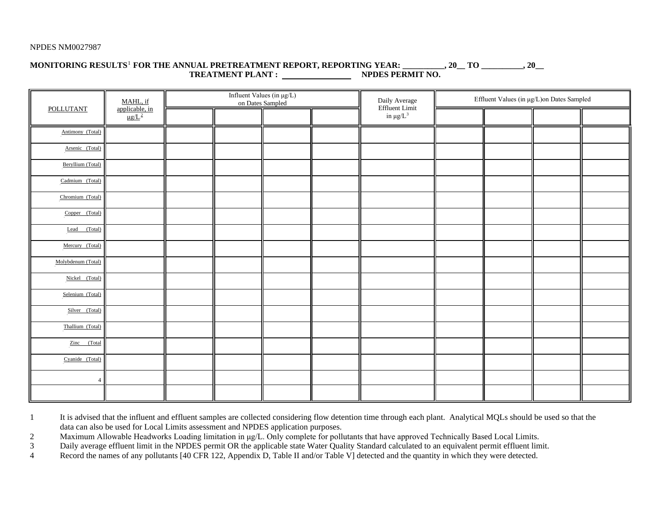## **MONITORING RESULTS**<sup>P</sup> 1 <sup>P</sup> **FOR THE ANNUAL PRETREATMENT REPORT, REPORTING YEAR: \_\_\_\_\_\_\_\_\_\_, 20\_\_ TO \_\_\_\_\_\_\_\_\_\_, 20\_\_ TREATMENT PLANT : NPDES PERMIT NO.**

| POLLUTANT          | MAHL, if<br>applicable, in<br>$\mu$ g/L <sup>2</sup> | on Dates Sampled | Influent Values (in $\mu g/L)$ | Daily Average                    | Effluent Values (in µg/L)on Dates Sampled |  |  |  |  |
|--------------------|------------------------------------------------------|------------------|--------------------------------|----------------------------------|-------------------------------------------|--|--|--|--|
|                    |                                                      |                  |                                | Effluent Limit<br>in $\mu g/L^3$ |                                           |  |  |  |  |
| Antimony (Total)   |                                                      |                  |                                |                                  |                                           |  |  |  |  |
| Arsenic (Total)    |                                                      |                  |                                |                                  |                                           |  |  |  |  |
| Beryllium (Total)  |                                                      |                  |                                |                                  |                                           |  |  |  |  |
| Cadmium (Total)    |                                                      |                  |                                |                                  |                                           |  |  |  |  |
| Chromium (Total)   |                                                      |                  |                                |                                  |                                           |  |  |  |  |
| Copper (Total)     |                                                      |                  |                                |                                  |                                           |  |  |  |  |
| (Total)<br>Lead    |                                                      |                  |                                |                                  |                                           |  |  |  |  |
| Mercury (Total)    |                                                      |                  |                                |                                  |                                           |  |  |  |  |
| Molybdenum (Total) |                                                      |                  |                                |                                  |                                           |  |  |  |  |
| Nickel (Total)     |                                                      |                  |                                |                                  |                                           |  |  |  |  |
| Selenium (Total)   |                                                      |                  |                                |                                  |                                           |  |  |  |  |
| Silver (Total)     |                                                      |                  |                                |                                  |                                           |  |  |  |  |
| Thallium (Total)   |                                                      |                  |                                |                                  |                                           |  |  |  |  |
| Zinc (Total        |                                                      |                  |                                |                                  |                                           |  |  |  |  |
| Cyanide (Total)    |                                                      |                  |                                |                                  |                                           |  |  |  |  |
| $\overline{4}$     |                                                      |                  |                                |                                  |                                           |  |  |  |  |
|                    |                                                      |                  |                                |                                  |                                           |  |  |  |  |

1 It is advised that the influent and effluent samples are collected considering flow detention time through each plant. Analytical MQLs should be used so that the data can also be used for Local Limits assessment and NPDES application purposes.

2 Maximum Allowable Headworks Loading limitation in μg/L. Only complete for pollutants that have approved Technically Based Local Limits.

3 Daily average effluent limit in the NPDES permit OR the applicable state Water Quality Standard calculated to an equivalent permit effluent limit.

4 Record the names of any pollutants [40 CFR 122, Appendix D, Table II and/or Table V] detected and the quantity in which they were detected.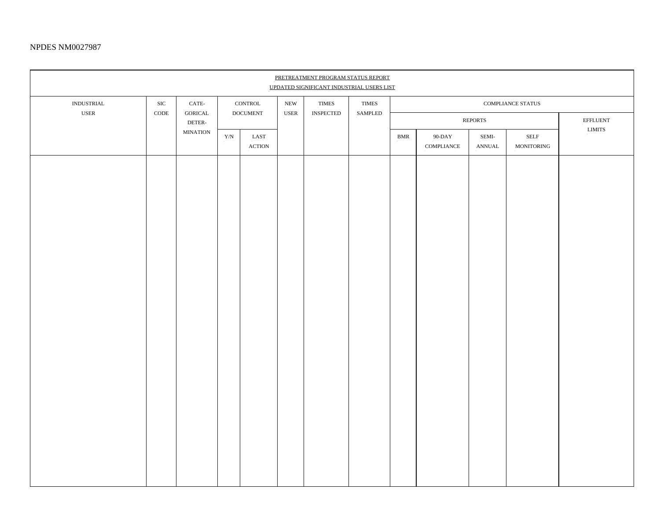| PRETREATMENT PROGRAM STATUS REPORT<br>UPDATED SIGNIFICANT INDUSTRIAL USERS LIST |                                  |                   |                                                                 |                                                  |                                                                                    |  |                         |                |                                              |                                                 |                                           |                           |
|---------------------------------------------------------------------------------|----------------------------------|-------------------|-----------------------------------------------------------------|--------------------------------------------------|------------------------------------------------------------------------------------|--|-------------------------|----------------|----------------------------------------------|-------------------------------------------------|-------------------------------------------|---------------------------|
| $\text{INDUSTRIAL}$<br>$_{\rm{USER}}$                                           | $_{\mathrm{SIC}}$<br>$\rm{CODE}$ | CATE-             | $\mbox{CONTROL}$<br><b>GORICAL</b><br>$\operatorname{DOCUMENT}$ |                                                  | ${\rm NEW}$<br>$\tt{TIMES}$<br>$_{\rm{USER}}$<br>$\ensuremath{\mathsf{INSPECIED}}$ |  | $\tt{TIMES}$<br>SAMPLED |                |                                              |                                                 |                                           |                           |
|                                                                                 |                                  | DETER-            |                                                                 |                                                  |                                                                                    |  |                         | <b>REPORTS</b> |                                              |                                                 |                                           | $\operatorname{EFFLUENT}$ |
|                                                                                 |                                  | $\text{MINATION}$ | ${\rm Y/N}$                                                     | $\operatorname{LAST}$<br>$\operatorname{ACTION}$ |                                                                                    |  |                         | <b>BMR</b>     | $90\mbox{-}\mathrm{DAY}$<br>$\sf COMPLIANCE$ | ${\bf SEMI}\mbox{-}$<br>$\operatorname{ANNUAL}$ | $\operatorname{SELF}$<br>$\sf MONITORING$ | ${\rm LIMITS}$            |
|                                                                                 |                                  |                   |                                                                 |                                                  |                                                                                    |  |                         |                |                                              |                                                 |                                           |                           |
|                                                                                 |                                  |                   |                                                                 |                                                  |                                                                                    |  |                         |                |                                              |                                                 |                                           |                           |
|                                                                                 |                                  |                   |                                                                 |                                                  |                                                                                    |  |                         |                |                                              |                                                 |                                           |                           |
|                                                                                 |                                  |                   |                                                                 |                                                  |                                                                                    |  |                         |                |                                              |                                                 |                                           |                           |
|                                                                                 |                                  |                   |                                                                 |                                                  |                                                                                    |  |                         |                |                                              |                                                 |                                           |                           |
|                                                                                 |                                  |                   |                                                                 |                                                  |                                                                                    |  |                         |                |                                              |                                                 |                                           |                           |
|                                                                                 |                                  |                   |                                                                 |                                                  |                                                                                    |  |                         |                |                                              |                                                 |                                           |                           |
|                                                                                 |                                  |                   |                                                                 |                                                  |                                                                                    |  |                         |                |                                              |                                                 |                                           |                           |
|                                                                                 |                                  |                   |                                                                 |                                                  |                                                                                    |  |                         |                |                                              |                                                 |                                           |                           |
|                                                                                 |                                  |                   |                                                                 |                                                  |                                                                                    |  |                         |                |                                              |                                                 |                                           |                           |
|                                                                                 |                                  |                   |                                                                 |                                                  |                                                                                    |  |                         |                |                                              |                                                 |                                           |                           |
|                                                                                 |                                  |                   |                                                                 |                                                  |                                                                                    |  |                         |                |                                              |                                                 |                                           |                           |
|                                                                                 |                                  |                   |                                                                 |                                                  |                                                                                    |  |                         |                |                                              |                                                 |                                           |                           |
|                                                                                 |                                  |                   |                                                                 |                                                  |                                                                                    |  |                         |                |                                              |                                                 |                                           |                           |
|                                                                                 |                                  |                   |                                                                 |                                                  |                                                                                    |  |                         |                |                                              |                                                 |                                           |                           |
|                                                                                 |                                  |                   |                                                                 |                                                  |                                                                                    |  |                         |                |                                              |                                                 |                                           |                           |